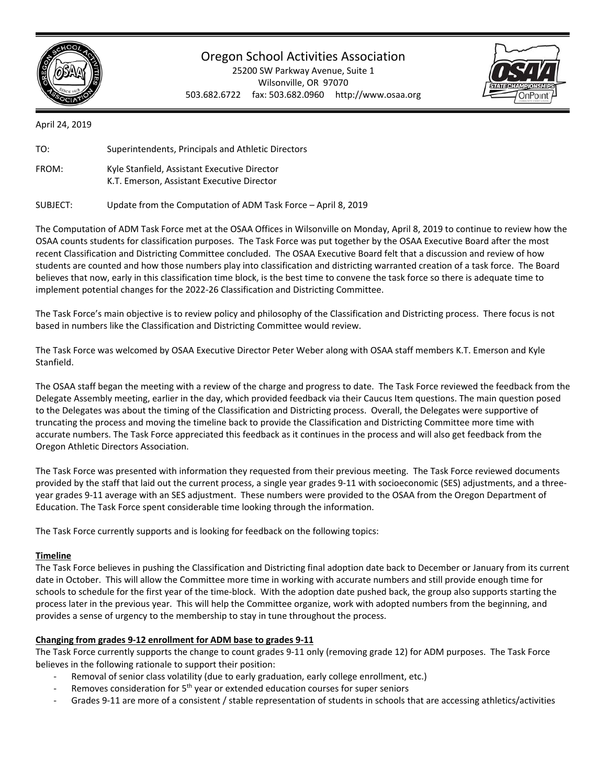

# Oregon School Activities Association

25200 SW Parkway Avenue, Suite 1 Wilsonville, OR 97070 503.682.6722 fax: 503.682.0960 http://www.osaa.org



April 24, 2019

| TO:   | Superintendents, Principals and Athletic Directors                                         |
|-------|--------------------------------------------------------------------------------------------|
| FROM: | Kyle Stanfield, Assistant Executive Director<br>K.T. Emerson, Assistant Executive Director |

SUBJECT: Update from the Computation of ADM Task Force – April 8, 2019

The Computation of ADM Task Force met at the OSAA Offices in Wilsonville on Monday, April 8, 2019 to continue to review how the OSAA counts students for classification purposes. The Task Force was put together by the OSAA Executive Board after the most recent Classification and Districting Committee concluded. The OSAA Executive Board felt that a discussion and review of how students are counted and how those numbers play into classification and districting warranted creation of a task force. The Board believes that now, early in this classification time block, is the best time to convene the task force so there is adequate time to implement potential changes for the 2022‐26 Classification and Districting Committee.

The Task Force's main objective is to review policy and philosophy of the Classification and Districting process. There focus is not based in numbers like the Classification and Districting Committee would review.

The Task Force was welcomed by OSAA Executive Director Peter Weber along with OSAA staff members K.T. Emerson and Kyle Stanfield.

The OSAA staff began the meeting with a review of the charge and progress to date. The Task Force reviewed the feedback from the Delegate Assembly meeting, earlier in the day, which provided feedback via their Caucus Item questions. The main question posed to the Delegates was about the timing of the Classification and Districting process. Overall, the Delegates were supportive of truncating the process and moving the timeline back to provide the Classification and Districting Committee more time with accurate numbers. The Task Force appreciated this feedback as it continues in the process and will also get feedback from the Oregon Athletic Directors Association.

The Task Force was presented with information they requested from their previous meeting. The Task Force reviewed documents provided by the staff that laid out the current process, a single year grades 9‐11 with socioeconomic (SES) adjustments, and a three‐ year grades 9‐11 average with an SES adjustment. These numbers were provided to the OSAA from the Oregon Department of Education. The Task Force spent considerable time looking through the information.

The Task Force currently supports and is looking for feedback on the following topics:

## **Timeline**

The Task Force believes in pushing the Classification and Districting final adoption date back to December or January from its current date in October. This will allow the Committee more time in working with accurate numbers and still provide enough time for schools to schedule for the first year of the time‐block. With the adoption date pushed back, the group also supports starting the process later in the previous year. This will help the Committee organize, work with adopted numbers from the beginning, and provides a sense of urgency to the membership to stay in tune throughout the process.

## **Changing from grades 9‐12 enrollment for ADM base to grades 9‐11**

The Task Force currently supports the change to count grades 9‐11 only (removing grade 12) for ADM purposes. The Task Force believes in the following rationale to support their position:

- Removal of senior class volatility (due to early graduation, early college enrollment, etc.)
- Removes consideration for 5<sup>th</sup> year or extended education courses for super seniors
- Grades 9-11 are more of a consistent / stable representation of students in schools that are accessing athletics/activities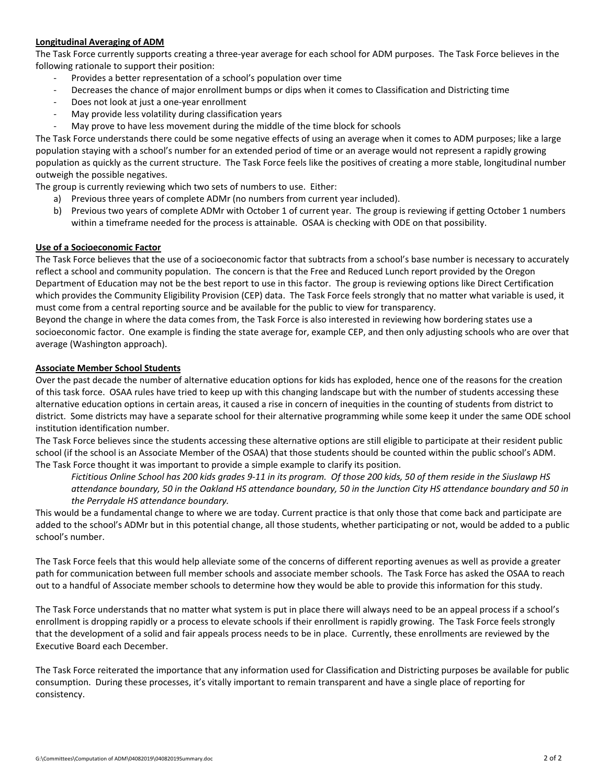### **Longitudinal Averaging of ADM**

The Task Force currently supports creating a three‐year average for each school for ADM purposes. The Task Force believes in the following rationale to support their position:

- ‐ Provides a better representation of a school's population over time
- ‐ Decreases the chance of major enrollment bumps or dips when it comes to Classification and Districting time
- ‐ Does not look at just a one‐year enrollment
- ‐ May provide less volatility during classification years
- May prove to have less movement during the middle of the time block for schools

The Task Force understands there could be some negative effects of using an average when it comes to ADM purposes; like a large population staying with a school's number for an extended period of time or an average would not represent a rapidly growing population as quickly as the current structure. The Task Force feels like the positives of creating a more stable, longitudinal number outweigh the possible negatives.

The group is currently reviewing which two sets of numbers to use. Either:

- a) Previous three years of complete ADMr (no numbers from current year included).
- b) Previous two years of complete ADMr with October 1 of current year. The group is reviewing if getting October 1 numbers within a timeframe needed for the process is attainable. OSAA is checking with ODE on that possibility.

### **Use of a Socioeconomic Factor**

The Task Force believes that the use of a socioeconomic factor that subtracts from a school's base number is necessary to accurately reflect a school and community population. The concern is that the Free and Reduced Lunch report provided by the Oregon Department of Education may not be the best report to use in this factor. The group is reviewing options like Direct Certification which provides the Community Eligibility Provision (CEP) data. The Task Force feels strongly that no matter what variable is used, it must come from a central reporting source and be available for the public to view for transparency.

Beyond the change in where the data comes from, the Task Force is also interested in reviewing how bordering states use a socioeconomic factor. One example is finding the state average for, example CEP, and then only adjusting schools who are over that average (Washington approach).

#### **Associate Member School Students**

Over the past decade the number of alternative education options for kids has exploded, hence one of the reasons for the creation of this task force. OSAA rules have tried to keep up with this changing landscape but with the number of students accessing these alternative education options in certain areas, it caused a rise in concern of inequities in the counting of students from district to district. Some districts may have a separate school for their alternative programming while some keep it under the same ODE school institution identification number.

The Task Force believes since the students accessing these alternative options are still eligible to participate at their resident public school (if the school is an Associate Member of the OSAA) that those students should be counted within the public school's ADM. The Task Force thought it was important to provide a simple example to clarify its position.

*Fictitious Online School has 200 kids grades 9‐11 in its program. Of those 200 kids, 50 of them reside in the Siuslawp HS attendance boundary, 50 in the Oakland HS attendance boundary, 50 in the Junction City HS attendance boundary and 50 in*  the Perrydale HS attendance boundary.

This would be a fundamental change to where we are today. Current practice is that only those that come back and participate are added to the school's ADMr but in this potential change, all those students, whether participating or not, would be added to a public school's number.

The Task Force feels that this would help alleviate some of the concerns of different reporting avenues as well as provide a greater path for communication between full member schools and associate member schools. The Task Force has asked the OSAA to reach out to a handful of Associate member schools to determine how they would be able to provide this information for this study.

The Task Force understands that no matter what system is put in place there will always need to be an appeal process if a school's enrollment is dropping rapidly or a process to elevate schools if their enrollment is rapidly growing. The Task Force feels strongly that the development of a solid and fair appeals process needs to be in place. Currently, these enrollments are reviewed by the Executive Board each December.

The Task Force reiterated the importance that any information used for Classification and Districting purposes be available for public consumption. During these processes, it's vitally important to remain transparent and have a single place of reporting for consistency.